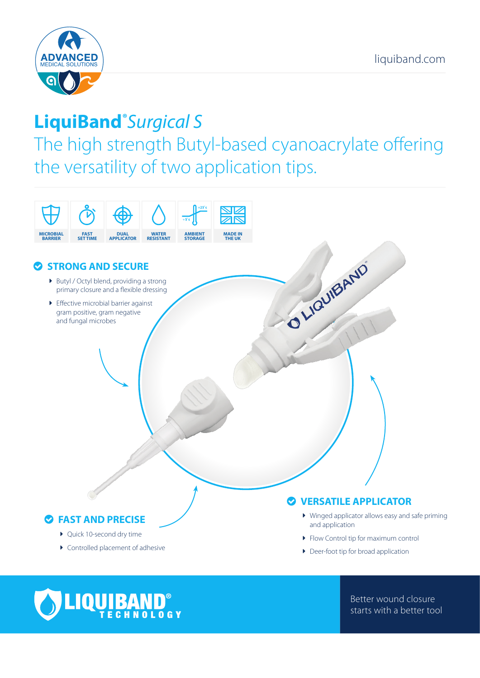

# **LiquiBand®** *Surgical S*

The high strength Butyl-based cyanoacrylate offering the versatility of two application tips.





Better wound closure starts with a better tool